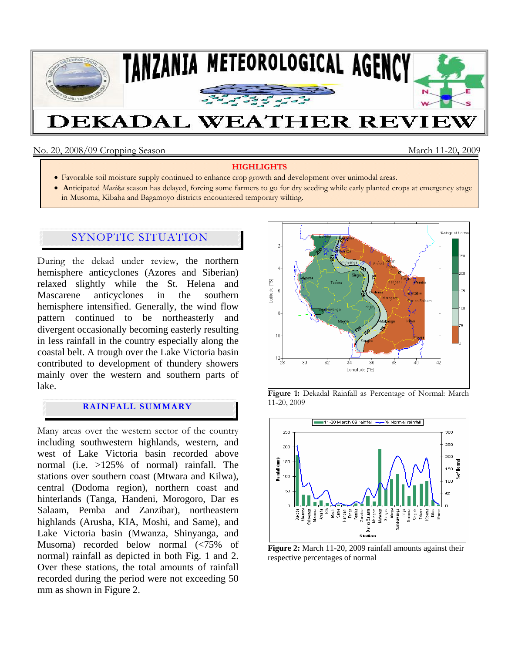

### No. 20, 2008/09 Cropping Season March 11-20**,** 2009

#### **HIGHLIGHTS**

- Favorable soil moisture supply continued to enhance crop growth and development over unimodal areas.
- **A**nticipated *Masika* season has delayed, forcing some farmers to go for dry seeding while early planted crops at emergency stage in Musoma, Kibaha and Bagamoyo districts encountered temporary wilting.

# SYNOPTIC SITUATION

During the dekad under review, the northern hemisphere anticyclones (Azores and Siberian) relaxed slightly while the St. Helena and Mascarene anticyclones in the southern hemisphere intensified. Generally, the wind flow pattern continued to be northeasterly and divergent occasionally becoming easterly resulting in less rainfall in the country especially along the coastal belt. A trough over the Lake Victoria basin contributed to development of thundery showers mainly over the western and southern parts of lake.

## **RAINFALL SUMMARY**

Many areas over the western sector of the country including southwestern highlands, western, and west of Lake Victoria basin recorded above normal (i.e. >125% of normal) rainfall. The stations over southern coast (Mtwara and Kilwa), central (Dodoma region), northern coast and hinterlands (Tanga, Handeni, Morogoro, Dar es Salaam, Pemba and Zanzibar), northeastern highlands (Arusha, KIA, Moshi, and Same), and Lake Victoria basin (Mwanza, Shinyanga, and Musoma) recorded below normal (<75% of normal) rainfall as depicted in both Fig. 1 and 2. Over these stations, the total amounts of rainfall recorded during the period were not exceeding 50 mm as shown in Figure 2.







**Figure 2:** March 11-20, 2009 rainfall amounts against their respective percentages of normal